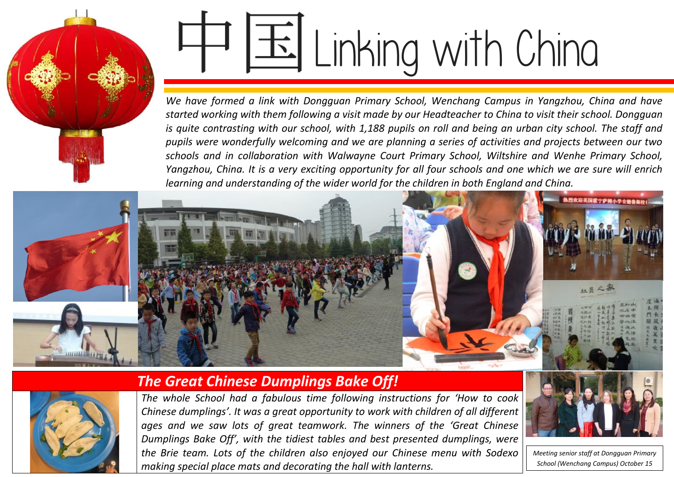# Linking with China

*We have formed a link with Dongguan Primary School, Wenchang Campus in Yangzhou, China and have started working with them following a visit made by our Headteacher to China to visit their school. Dongguan is quite contrasting with our school, with 1,188 pupils on roll and being an urban city school. The staff and pupils were wonderfully welcoming and we are planning a series of activities and projects between our two schools and in collaboration with Walwayne Court Primary School, Wiltshire and Wenhe Primary School, Yangzhou, China. It is a very exciting opportunity for all four schools and one which we are sure will enrich learning and understanding of the wider world for the children in both England and China.*





#### *The Great Chinese Dumplings Bake Off!*

*The whole School had a fabulous time following instructions for 'How to cook Chinese dumplings'. It was a great opportunity to work with children of all different ages and we saw lots of great teamwork. The winners of the 'Great Chinese Dumplings Bake Off', with the tidiest tables and best presented dumplings, were the Brie team. Lots of the children also enjoyed our Chinese menu with Sodexo making special place mats and decorating the hall with lanterns.*



*Meeting senior staff at Dongguan Primary School (Wenchang Campus) October 15*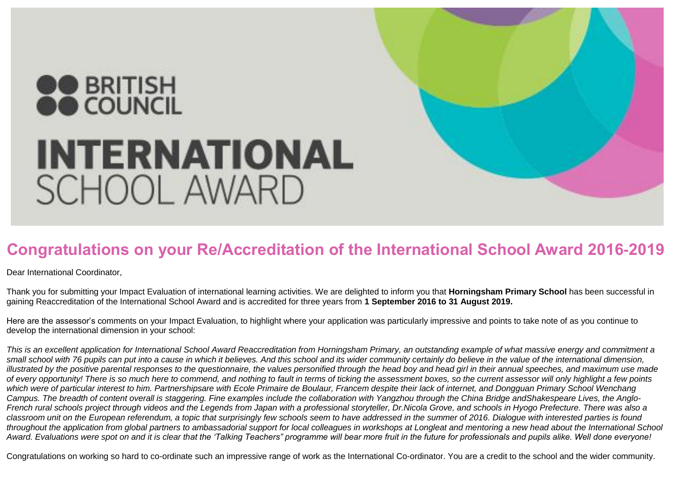## **OO BRITISH INTERNATIONAL SCHOOL AWARD**

### **Congratulations on your Re/Accreditation of the International School Award 2016-2019**

Dear International Coordinator,

Thank you for submitting your Impact Evaluation of international learning activities. We are delighted to inform you that **Horningsham Primary School** has been successful in gaining Reaccreditation of the International School Award and is accredited for three years from **1 September 2016 to 31 August 2019.**

Here are the assessor's comments on your Impact Evaluation, to highlight where your application was particularly impressive and points to take note of as you continue to develop the international dimension in your school:

*This is an excellent application for International School Award Reaccreditation from Horningsham Primary, an outstanding example of what massive energy and commitment a small school with 76 pupils can put into a cause in which it believes. And this school and its wider community certainly do believe in the value of the international dimension, illustrated by the positive parental responses to the questionnaire, the values personified through the head boy and head girl in their annual speeches, and maximum use made of every opportunity! There is so much here to commend, and nothing to fault in terms of ticking the assessment boxes, so the current assessor will only highlight a few points which were of particular interest to him. Partnershipsare with Ecole Primaire de Boulaur, Francem despite their lack of internet, and Dongguan Primary School Wenchang*  Campus. The breadth of content overall is staggering. Fine examples include the collaboration with Yangzhou through the China Bridge andShakespeare Lives, the Anglo-*French rural schools project through videos and the Legends from Japan with a professional storyteller, Dr.Nicola Grove, and schools in Hyogo Prefecture. There was also a classroom unit on the European referendum, a topic that surprisingly few schools seem to have addressed in the summer of 2016. Dialogue with interested parties is found throughout the application from global partners to ambassadorial support for local colleagues in workshops at Longleat and mentoring a new head about the International School Award. Evaluations were spot on and it is clear that the 'Talking Teachers" programme will bear more fruit in the future for professionals and pupils alike. Well done everyone!*

Congratulations on working so hard to co-ordinate such an impressive range of work as the International Co-ordinator. You are a credit to the school and the wider community.